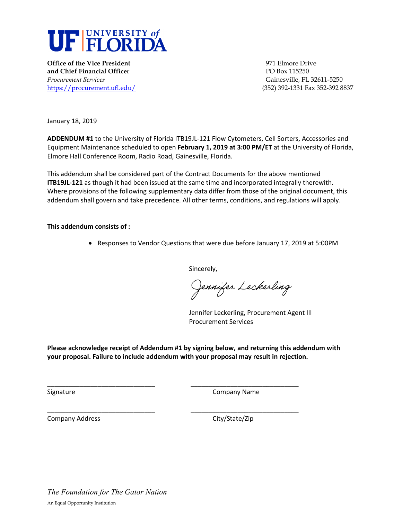

**Office of the Vice President** 2002 2003 2004 10:00:00 971 Elmore Drive **and Chief Financial Officer PO Box 115250** *Procurement Services* Gainesville, FL 32611-5250 <https://procurement.ufl.edu/>(352) 392-1331 Fax 352-392 8837

January 18, 2019

**ADDENDUM #1** to the University of Florida ITB19JL-121 Flow Cytometers, Cell Sorters, Accessories and Equipment Maintenance scheduled to open **February 1, 2019 at 3:00 PM/ET** at the University of Florida, Elmore Hall Conference Room, Radio Road, Gainesville, Florida.

This addendum shall be considered part of the Contract Documents for the above mentioned **ITB19JL-121** as though it had been issued at the same time and incorporated integrally therewith. Where provisions of the following supplementary data differ from those of the original document, this addendum shall govern and take precedence. All other terms, conditions, and regulations will apply.

## **This addendum consists of :**

• Responses to Vendor Questions that were due before January 17, 2019 at 5:00PM

Sincerely,

Jennifer Leckerling

Jennifer Leckerling, Procurement Agent III Procurement Services

**Please acknowledge receipt of Addendum #1 by signing below, and returning this addendum with your proposal. Failure to include addendum with your proposal may result in rejection.** 

\_\_\_\_\_\_\_\_\_\_\_\_\_\_\_\_\_\_\_\_\_\_\_\_\_\_\_\_\_\_ \_\_\_\_\_\_\_\_\_\_\_\_\_\_\_\_\_\_\_\_\_\_\_\_\_\_\_\_\_\_

\_\_\_\_\_\_\_\_\_\_\_\_\_\_\_\_\_\_\_\_\_\_\_\_\_\_\_\_\_\_ \_\_\_\_\_\_\_\_\_\_\_\_\_\_\_\_\_\_\_\_\_\_\_\_\_\_\_\_\_\_

Signature Company Name

Company Address Company Address City/State/Zip